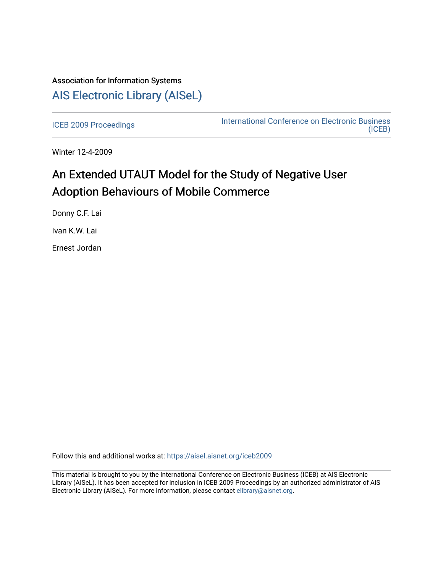## Association for Information Systems [AIS Electronic Library \(AISeL\)](https://aisel.aisnet.org/)

[ICEB 2009 Proceedings](https://aisel.aisnet.org/iceb2009) **International Conference on Electronic Business** [\(ICEB\)](https://aisel.aisnet.org/iceb) 

Winter 12-4-2009

# An Extended UTAUT Model for the Study of Negative User Adoption Behaviours of Mobile Commerce

Donny C.F. Lai

Ivan K.W. Lai

Ernest Jordan

Follow this and additional works at: [https://aisel.aisnet.org/iceb2009](https://aisel.aisnet.org/iceb2009?utm_source=aisel.aisnet.org%2Ficeb2009%2F117&utm_medium=PDF&utm_campaign=PDFCoverPages)

This material is brought to you by the International Conference on Electronic Business (ICEB) at AIS Electronic Library (AISeL). It has been accepted for inclusion in ICEB 2009 Proceedings by an authorized administrator of AIS Electronic Library (AISeL). For more information, please contact [elibrary@aisnet.org.](mailto:elibrary@aisnet.org%3E)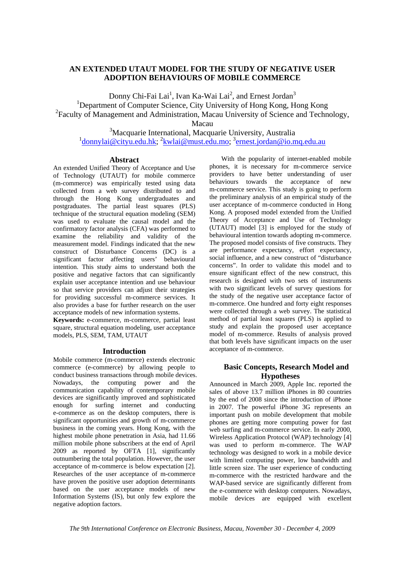## **AN EXTENDED UTAUT MODEL FOR THE STUDY OF NEGATIVE USER ADOPTION BEHAVIOURS OF MOBILE COMMERCE**

 $\frac{1}{1}$ Donny Chi-Fai Lai<sup>1</sup>, Ivan Ka-Wai Lai<sup>2</sup>, and Ernest Jordan<sup>3</sup> <sup>1</sup>Department of Computer Science, City University of Hong Kong, Hong Kong <sup>2</sup> Faculty of Management and Administration, Macau University of Science and Technology,

Macau

<sup>3</sup>Macquarie International, Macquarie University, Australia <sup>1</sup> donnylai@cityu.edu.hk; <sup>2</sup> kwlai@must.edu.mo; <sup>3</sup> ernest.jordan@io.mq.edu.au

## **Abstract**

An extended Unified Theory of Acceptance and Use of Technology (UTAUT) for mobile commerce (m-commerce) was empirically tested using data collected from a web survey distributed to and through the Hong Kong undergraduates and postgraduates. The partial least squares (PLS) technique of the structural equation modeling (SEM) was used to evaluate the causal model and the confirmatory factor analysis (CFA) was performed to examine the reliability and validity of the measurement model. Findings indicated that the new construct of Disturbance Concerns (DC) is a significant factor affecting users' behavioural intention. This study aims to understand both the positive and negative factors that can significantly explain user acceptance intention and use behaviour so that service providers can adjust their strategies for providing successful m-commerce services. It also provides a base for further research on the user acceptance models of new information systems.

**Keywords:** e-commerce, m-commerce, partial least square, structural equation modeling, user acceptance models, PLS, SEM, TAM, UTAUT

## **Introduction**

Mobile commerce (m-commerce) extends electronic commerce (e-commerce) by allowing people to conduct business transactions through mobile devices. Nowadays, the computing power and the communication capability of contemporary mobile devices are significantly improved and sophisticated enough for surfing internet and conducting e-commerce as on the desktop computers, there is significant opportunities and growth of m-commerce business in the coming years. Hong Kong, with the highest mobile phone penetration in Asia, had 11.66 million mobile phone subscribers at the end of April 2009 as reported by OFTA [1], significantly outnumbering the total population. However, the user acceptance of m-commerce is below expectation [2]. Researches of the user acceptance of m-commerce have proven the positive user adoption determinants based on the user acceptance models of new Information Systems (IS), but only few explore the negative adoption factors.

With the popularity of internet-enabled mobile phones, it is necessary for m-commerce service providers to have better understanding of user behaviours towards the acceptance of new m-commerce service. This study is going to perform the preliminary analysis of an empirical study of the user acceptance of m-commerce conducted in Hong Kong. A proposed model extended from the Unified Theory of Acceptance and Use of Technology (UTAUT) model [3] is employed for the study of behavioural intention towards adopting m-commerce. The proposed model consists of five constructs. They are performance expectancy, effort expectancy, social influence, and a new construct of "disturbance concerns". In order to validate this model and to ensure significant effect of the new construct, this research is designed with two sets of instruments with two significant levels of survey questions for the study of the negative user acceptance factor of m-commerce. One hundred and forty eight responses were collected through a web survey. The statistical method of partial least squares (PLS) is applied to study and explain the proposed user acceptance model of m-commerce. Results of analysis proved that both levels have significant impacts on the user acceptance of m-commerce.

## **Basic Concepts, Research Model and Hypotheses**

Announced in March 2009, Apple Inc. reported the sales of above 13.7 million iPhones in 80 countries by the end of 2008 since the introduction of iPhone in 2007. The powerful iPhone 3G represents an important push on mobile development that mobile phones are getting more computing power for fast web surfing and m-commerce service. In early 2000, Wireless Application Protocol (WAP) technology [4] was used to perform m-commerce. The WAP technology was designed to work in a mobile device with limited computing power, low bandwidth and little screen size. The user experience of conducting m-commerce with the restricted hardware and the WAP-based service are significantly different from the e-commerce with desktop computers. Nowadays, mobile devices are equipped with excellent

*The 9th International Conference on Electronic Business, Macau, November 30 - December 4, 2009*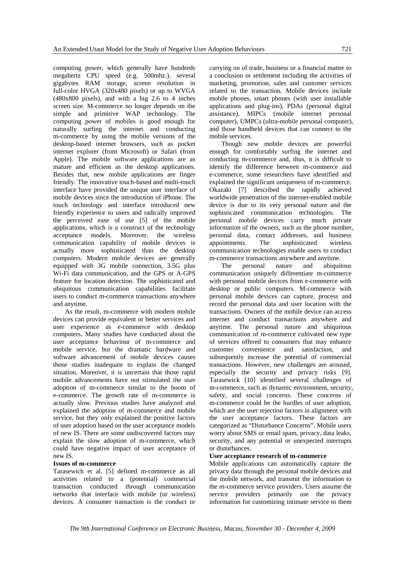computing power, which generally have hundreds megahertz CPU speed (e.g. 500mhz.), several gigabytes RAM storage, screen resolution in full-color HVGA (320x480 pixels) or up to WVGA (480x800 pixels), and with a big 2.6 to 4 inches screen size. M-commerce no longer depends on the simple and primitive WAP technology. The computing power of mobiles is good enough for naturally surfing the internet and conducting m-commerce by using the mobile versions of the desktop-based internet browsers, such as pocket internet explorer (from Microsoft) or Safari (from Apple). The mobile software applications are as mature and efficient as the desktop applications. Besides that, new mobile applications are finger friendly. The innovative touch-based and multi-touch interface have provided the unique user interface of mobile devices since the introduction of iPhone. The touch technology and interface introduced new friendly experience to users and radically improved the perceived ease of use [5] of the mobile applications, which is a construct of the technology acceptance models. Moreover, the wireless communication capability of mobile devices is actually more sophisticated than the desktop computers. Modern mobile devices are generally equipped with 3G mobile connection, 3.5G plus Wi-Fi data communication, and the GPS or A-GPS feature for location detection. The sophisticated and ubiquitous communication capabilities facilitate users to conduct m-commerce transactions anywhere and anytime.

As the result, m-commerce with modern mobile devices can provide equivalent or better services and user experience as e-commerce with desktop computers. Many studies have conducted about the user acceptance behaviour of m-commerce and mobile service, but the dramatic hardware and software advancement of mobile devices causes those studies inadequate to explain the changed situation. Moreover, it is uncertain that those rapid mobile advancements have not stimulated the user adoption of m-commerce similar to the boom of e-commerce. The growth rate of m-commerce is actually slow. Previous studies have analyzed and explained the adoption of m-commerce and mobile service, but they only explained the positive factors of user adoption based on the user acceptance models of new IS. There are some undiscovered factors may explain the slow adoption of m-commerce, which could have negative impact of user acceptance of new IS.

#### **Issues of m-commerce**

Tarasewich et al. [5] defined m-commerce as all activities related to a (potential) commercial transaction conducted through communication networks that interface with mobile (or wireless) devices. A consumer transaction is the conduct or

carrying on of trade, business or a financial matter to a conclusion or settlement including the activities of marketing, promotion, sales and customer services related to the transaction. Mobile devices include mobile phones, smart phones (with user installable applications and plug-ins), PDAs (personal digital assistance), MIPCs (mobile internet personal computer), UMPCs (ultra-mobile personal computer), and those handheld devices that can connect to the mobile services.

Though new mobile devices are powerful enough for comfortably surfing the internet and conducting m-commerce and, thus, it is difficult to identify the difference between m-commerce and e-commerce, some researchers have identified and explained the significant uniqueness of m-commerce. Okazaki [7] described the rapidly achieved worldwide penetration of the internet-enabled mobile device is due to its very personal nature and the sophisticated communication technologies. The personal mobile devices carry much private information of the owners, such as the phone number, personal data, contact addresses, and business appointments. The sophisticated wireless communication technologies enable users to conduct m-commerce transactions anywhere and anytime.

The personal nature and ubiquitous communication uniquely differentiate m-commerce with personal mobile devices from e-commerce with desktop or public computers. M-commerce with personal mobile devices can capture, process and record the personal data and user location with the transactions. Owners of the mobile device can access internet and conduct transactions anywhere and anytime. The personal nature and ubiquitous communication of m-commerce cultivated new type of services offered to consumers that may enhance customer convenience and satisfaction, and subsequently increase the potential of commercial transactions. However, new challenges are aroused, especially the security and privacy risks [9]. Tarasewick [10] identified several challenges of m-commerce, such as dynamic environment, security, safety, and social concerns. These concerns of m-commerce could be the hurdles of user adoption, which are the user rejection factors in alignment with the user acceptance factors. These factors are categorized as "Disturbance Concerns". Mobile users worry about SMS or email spam, privacy, data leaks, security, and any potential or unexpected interrupts or disturbances.

#### **User acceptance research of m-commerce**

Mobile applications can automatically capture the privacy data through the personal mobile devices and the mobile network, and transmit the information to the m-commerce service providers. Users assume the service providers primarily use the privacy information for customizing intimate service to them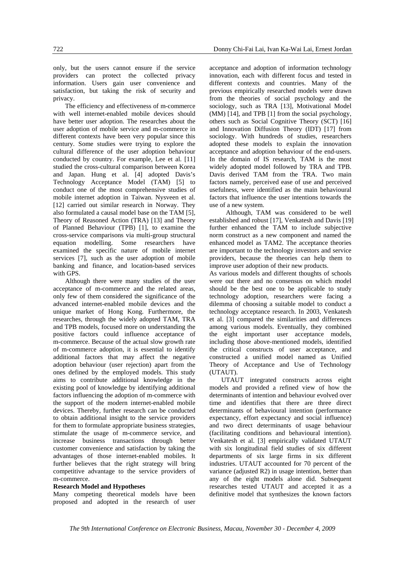only, but the users cannot ensure if the service providers can protect the collected privacy information. Users gain user convenience and satisfaction, but taking the risk of security and privacy.

The efficiency and effectiveness of m-commerce with well internet-enabled mobile devices should have better user adoption. The researches about the user adoption of mobile service and m-commerce in different contexts have been very popular since this century. Some studies were trying to explore the cultural difference of the user adoption behaviour conducted by country. For example, Lee et al. [11] studied the cross-cultural comparison between Korea and Japan. Hung et al. [4] adopted Davis's Technology Acceptance Model (TAM) [5] to conduct one of the most comprehensive studies of mobile internet adoption in Taiwan. Nysveen et al. [12] carried out similar research in Norway. They also formulated a causal model base on the TAM [5], Theory of Reasoned Action (TRA) [13] and Theory of Planned Behaviour (TPB) [1], to examine the cross-service comparisons via multi-group structural equation modelling. Some researchers have examined the specific nature of mobile internet services [7], such as the user adoption of mobile banking and finance, and location-based services with GPS.

Although there were many studies of the user acceptance of m-commerce and the related areas, only few of them considered the significance of the advanced internet-enabled mobile devices and the unique market of Hong Kong. Furthermore, the researches, through the widely adopted TAM, TRA and TPB models, focused more on understanding the positive factors could influence acceptance of m-commerce. Because of the actual slow growth rate of m-commerce adoption, it is essential to identify additional factors that may affect the negative adoption behaviour (user rejection) apart from the ones defined by the employed models. This study aims to contribute additional knowledge in the existing pool of knowledge by identifying additional factors influencing the adoption of m-commerce with the support of the modern internet-enabled mobile devices. Thereby, further research can be conducted to obtain additional insight to the service providers for them to formulate appropriate business strategies, stimulate the usage of m-commerce service, and increase business transactions through better customer convenience and satisfaction by taking the advantages of those internet-enabled mobiles. It further believes that the right strategy will bring competitive advantage to the service providers of m-commerce.

#### **Research Model and Hypotheses**

Many competing theoretical models have been proposed and adopted in the research of user

acceptance and adoption of information technology innovation, each with different focus and tested in different contexts and countries. Many of the previous empirically researched models were drawn from the theories of social psychology and the sociology, such as TRA [13], Motivational Model (MM) [14], and TPB [1] from the social psychology, others such as Social Cognitive Theory (SCT) [16] and Innovation Diffusion Theory (IDT) [17] from sociology. With hundreds of studies, researchers adopted these models to explain the innovation acceptance and adoption behaviour of the end-users. In the domain of IS research, TAM is the most widely adopted model followed by TRA and TPB. Davis derived TAM from the TRA. Two main factors namely, perceived ease of use and perceived usefulness, were identified as the main behavioural factors that influence the user intentions towards the use of a new system.

Although, TAM was considered to be well established and robust [17], Venkatesh and Davis [19] further enhanced the TAM to include subjective norm construct as a new component and named the enhanced model as TAM2. The acceptance theories are important to the technology investors and service providers, because the theories can help them to improve user adoption of their new products.

As various models and different thoughts of schools were out there and no consensus on which model should be the best one to be applicable to study technology adoption, researchers were facing a dilemma of choosing a suitable model to conduct a technology acceptance research. In 2003, Venkatesh et al. [3] compared the similarities and differences among various models. Eventually, they combined the eight important user acceptance models, including those above-mentioned models, identified the critical constructs of user acceptance, and constructed a unified model named as Unified Theory of Acceptance and Use of Technology (UTAUT).

UTAUT integrated constructs across eight models and provided a refined view of how the determinants of intention and behaviour evolved over time and identifies that there are three direct determinants of behavioural intention (performance expectancy, effort expectancy and social influence) and two direct determinants of usage behaviour (facilitating conditions and behavioural intention). Venkatesh et al. [3] empirically validated UTAUT with six longitudinal field studies of six different departments of six large firms in six different industries. UTAUT accounted for 70 percent of the variance (adjusted R2) in usage intention, better than any of the eight models alone did. Subsequent researches tested UTAUT and accepted it as a definitive model that synthesizes the known factors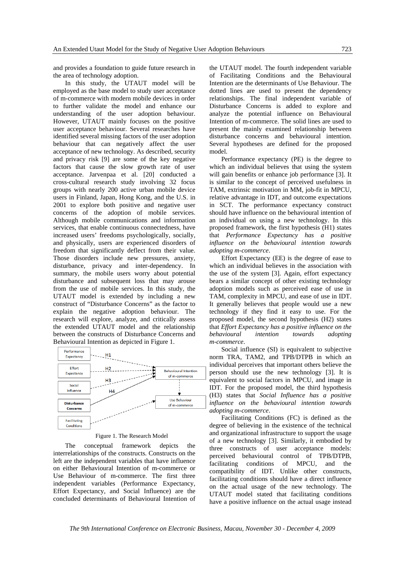and provides a foundation to guide future research in the area of technology adoption.

In this study, the UTAUT model will be employed as the base model to study user acceptance of m-commerce with modern mobile devices in order to further validate the model and enhance our understanding of the user adoption behaviour. However, UTAUT mainly focuses on the positive user acceptance behaviour. Several researches have identified several missing factors of the user adoption behaviour that can negatively affect the user acceptance of new technology. As described, security and privacy risk [9] are some of the key negative factors that cause the slow growth rate of user acceptance. Jarvenpaa et al. [20] conducted a cross-cultural research study involving 32 focus groups with nearly 200 active urban mobile device users in Finland, Japan, Hong Kong, and the U.S. in 2001 to explore both positive and negative user concerns of the adoption of mobile services. Although mobile communications and information services, that enable continuous connectedness, have increased users' freedoms psychologically, socially, and physically, users are experienced disorders of freedom that significantly deflect from their value. Those disorders include new pressures, anxiety, disturbance, privacy and inter-dependency. In summary, the mobile users worry about potential disturbance and subsequent loss that may arouse from the use of mobile services. In this study, the UTAUT model is extended by including a new construct of "Disturbance Concerns" as the factor to explain the negative adoption behaviour. The research will explore, analyze, and critically assess the extended UTAUT model and the relationship between the constructs of Disturbance Concerns and Behavioural Intention as depicted in Figure 1.



Figure 1. The Research Model

The conceptual framework depicts the interrelationships of the constructs. Constructs on the left are the independent variables that have influence on either Behavioural Intention of m-commerce or Use Behaviour of m-commerce. The first three independent variables (Performance Expectancy, Effort Expectancy, and Social Influence) are the concluded determinants of Behavioural Intention of the UTAUT model. The fourth independent variable of Facilitating Conditions and the Behavioural Intention are the determinants of Use Behaviour. The dotted lines are used to present the dependency relationships. The final independent variable of Disturbance Concerns is added to explore and analyze the potential influence on Behavioural Intention of m-commerce. The solid lines are used to present the mainly examined relationship between disturbance concerns and behavioural intention. Several hypotheses are defined for the proposed model.

Performance expectancy (PE) is the degree to which an individual believes that using the system will gain benefits or enhance job performance [3]. It is similar to the concept of perceived usefulness in TAM, extrinsic motivation in MM, job-fit in MPCU, relative advantage in IDT, and outcome expectations in SCT. The performance expectancy construct should have influence on the behavioural intention of an individual on using a new technology. In this proposed framework, the first hypothesis (H1) states that *Performance Expectancy has a positive influence on the behavioural intention towards adopting m-commerce*.

Effort Expectancy (EE) is the degree of ease to which an individual believes in the association with the use of the system [3]. Again, effort expectancy bears a similar concept of other existing technology adoption models such as perceived ease of use in TAM, complexity in MPCU, and ease of use in IDT. It generally believes that people would use a new technology if they find it easy to use. For the proposed model, the second hypothesis (H2) states that *Effort Expectancy has a positive influence on the behavioural intention towards adopting m-commerce*.

Social influence (SI) is equivalent to subjective norm TRA, TAM2, and TPB/DTPB in which an individual perceives that important others believe the person should use the new technology [3]. It is equivalent to social factors in MPCU, and image in IDT. For the proposed model, the third hypothesis (H3) states that *Social Influence has a positive influence on the behavioural intention towards adopting m-commerce*.

Facilitating Conditions (FC) is defined as the degree of believing in the existence of the technical and organizational infrastructure to support the usage of a new technology [3]. Similarly, it embodied by three constructs of user acceptance models: perceived behavioural control of TPB/DTPB, facilitating conditions of MPCU, and the compatibility of IDT. Unlike other constructs, facilitating conditions should have a direct influence on the actual usage of the new technology. The UTAUT model stated that facilitating conditions have a positive influence on the actual usage instead

*The 9th International Conference on Electronic Business, Macau, November 30 - December 4, 2009*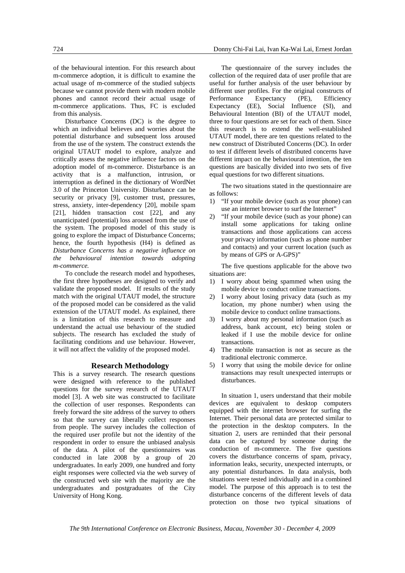of the behavioural intention. For this research about m-commerce adoption, it is difficult to examine the actual usage of m-commerce of the studied subjects because we cannot provide them with modern mobile phones and cannot record their actual usage of m-commerce applications. Thus, FC is excluded from this analysis.

Disturbance Concerns (DC) is the degree to which an individual believes and worries about the potential disturbance and subsequent loss aroused from the use of the system. The construct extends the original UTAUT model to explore, analyze and critically assess the negative influence factors on the adoption model of m-commerce. Disturbance is an activity that is a malfunction, intrusion, or interruption as defined in the dictionary of WordNet 3.0 of the Princeton University. Disturbance can be security or privacy [9], customer trust, pressures, stress, anxiety, inter-dependency [20], mobile spam [21], hidden transaction cost [22], and any unanticipated (potential) loss aroused from the use of the system. The proposed model of this study is going to explore the impact of Disturbance Concerns; hence, the fourth hypothesis (H4) is defined as *Disturbance Concerns has a negative influence on the behavioural intention towards adopting m-commerce.* 

To conclude the research model and hypotheses, the first three hypotheses are designed to verify and validate the proposed model. If results of the study match with the original UTAUT model, the structure of the proposed model can be considered as the valid extension of the UTAUT model. As explained, there is a limitation of this research to measure and understand the actual use behaviour of the studied subjects. The research has excluded the study of facilitating conditions and use behaviour. However, it will not affect the validity of the proposed model.

#### **Research Methodology**

This is a survey research. The research questions were designed with reference to the published questions for the survey research of the UTAUT model [3]. A web site was constructed to facilitate the collection of user responses. Respondents can freely forward the site address of the survey to others so that the survey can liberally collect responses from people. The survey includes the collection of the required user profile but not the identity of the respondent in order to ensure the unbiased analysis of the data. A pilot of the questionnaires was conducted in late 2008 by a group of 20 undergraduates. In early 2009, one hundred and forty eight responses were collected via the web survey of the constructed web site with the majority are the undergraduates and postgraduates of the City University of Hong Kong.

The questionnaire of the survey includes the collection of the required data of user profile that are useful for further analysis of the user behaviour by different user profiles. For the original constructs of Performance Expectancy (PE), Efficiency Expectancy (EE), Social Influence (SI), and Behavioural Intention (BI) of the UTAUT model, three to four questions are set for each of them. Since this research is to extend the well-established UTAUT model, there are ten questions related to the new construct of Distributed Concerns (DC). In order to test if different levels of distributed concerns have different impact on the behavioural intention, the ten questions are basically divided into two sets of five equal questions for two different situations.

The two situations stated in the questionnaire are as follows:

- 1) "If your mobile device (such as your phone) can use an internet browser to surf the Internet"
- 2) "If your mobile device (such as your phone) can install some applications for taking online transactions and those applications can access your privacy information (such as phone number and contacts) and your current location (such as by means of GPS or A-GPS)"

The five questions applicable for the above two situations are:

- 1) I worry about being spammed when using the mobile device to conduct online transactions.
- 2) I worry about losing privacy data (such as my location, my phone number) when using the mobile device to conduct online transactions.
- 3) I worry about my personal information (such as address, bank account, etc) being stolen or leaked if I use the mobile device for online transactions.
- 4) The mobile transaction is not as secure as the traditional electronic commerce.
- 5) I worry that using the mobile device for online transactions may result unexpected interrupts or disturbances.

In situation 1, users understand that their mobile devices are equivalent to desktop computers equipped with the internet browser for surfing the Internet. Their personal data are protected similar to the protection in the desktop computers. In the situation 2, users are reminded that their personal data can be captured by someone during the conduction of m-commerce. The five questions covers the disturbance concerns of spam, privacy, information leaks, security, unexpected interrupts, or any potential disturbances. In data analysis, both situations were tested individually and in a combined model. The purpose of this approach is to test the disturbance concerns of the different levels of data protection on those two typical situations of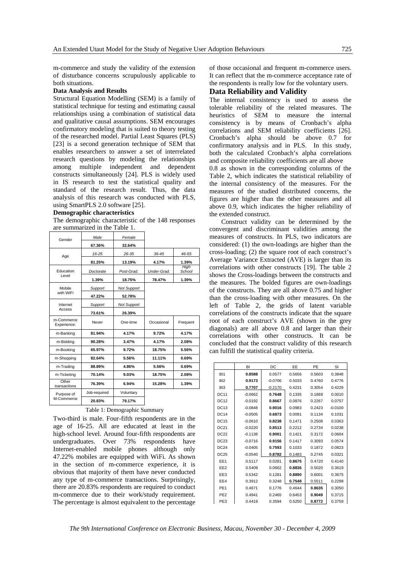m-commerce and study the validity of the extension of disturbance concerns scrupulously applicable to both situations.

#### **Data Analysis and Results**

Structural Equation Modelling (SEM) is a family of statistical technique for testing and estimating causal relationships using a combination of statistical data and qualitative causal assumptions. SEM encourages confirmatory modeling that is suited to theory testing of the researched model. Partial Least Squares (PLS) [23] is a second generation technique of SEM that enables researchers to answer a set of interrelated research questions by modeling the relationships among multiple independent and dependent constructs simultaneously [24]. PLS is widely used in IS research to test the statistical quality and standard of the research result. Thus, the data analysis of this research was conducted with PLS, using SmartPLS 2.0 software [25].

#### **Demographic characteristics**

The demographic characteristic of the 148 responses are summarized in the Table 1.

| Gender                    | Male             | Female             |             |                |
|---------------------------|------------------|--------------------|-------------|----------------|
|                           | 67.36%           | 32.64%             |             |                |
| Age                       | 16-25            | 26-35              | 36-45       | 46-55          |
|                           | 81.25%           | 13.19%             | 4.17%       | 1.39%          |
| Education                 | Doctorate        | Post-Grad.         | Under-Grad. | High<br>School |
| Level                     | 1.39%            | 18.75%             | 78.47%      | 1.39%          |
| Mobile                    | Support          | <b>Not Support</b> |             |                |
| with WiFi                 | 47.22%           | 52.78%             |             |                |
| Internet                  | Support          | <b>Not Support</b> |             |                |
| Access                    | 73.61%<br>26.39% |                    |             |                |
| m-Commerce<br>Experience: | Never            | One-time           | Occasional  | Frequent       |
| m-Banking                 | 81.94%           | 4.17%              | 9.72%       | 4.17%          |
| m-Bidding                 | 90.28%           | 3.47%              | 4.17%       | 2.08%          |
| m-Booking                 | 65.97%           | 9.72%              | 18.75%      | 5.56%          |
| m-Shopping                | 82.64%           | 5.56%              | 11.11%      | 0.69%          |
| m-Trading                 | 88.89%           | 4.86%              | 5.56%       | 0.69%          |
| m-Ticketing               | 70.14%           | 9.03%              | 18.75%      | 2.08%          |
| Other<br>transactions     | 76.39%           | 6.94%              | 15.28%      | 1.39%          |
| Purpose of                | Job-required     | Voluntary          |             |                |
| M-Commerce                | 20.83%           | 79.17%             |             |                |

#### Table 1: Demographic Summary

Two-third is male. Four-fifth respondents are in the age of 16-25. All are educated at least in the high-school level. Around four-fifth respondents are undergraduates. Over 73% respondents have Internet-enabled mobile phones although only 47.22% mobiles are equipped with WiFi. As shown in the section of m-commerce experience, it is obvious that majority of them have never conducted any type of m-commerce transactions. Surprisingly, there are 20.83% respondents are required to conduct m-commerce due to their work/study requirement. The percentage is almost equivalent to the percentage

of those occasional and frequent m-commerce users. It can reflect that the m-commerce acceptance rate of the respondents is really low for the voluntary users.

## **Data Reliability and Validity**

the extended construct.

The internal consistency is used to assess the tolerable reliability of the related measures. The heuristics of SEM to measure the internal consistency is by means of Cronbach's alpha correlations and SEM reliability coefficients [26]. Cronbach's alpha should be above 0.7 for confirmatory analysis and in PLS. In this study, both the calculated Cronbach's alpha correlations and composite reliability coefficients are all above 0.8 as shown in the corresponding columns of the Table 2, which indicates the statistical reliability of the internal consistency of the measures. For the measures of the studied distributed concerns, the figures are higher than the other measures and all above 0.9, which indicates the higher reliability of

Construct validity can be determined by the convergent and discriminant validities among the measures of constructs. In PLS, two indicators are considered: (1) the own-loadings are higher than the cross-loading; (2) the square root of each construct's Average Variance Extracted (AVE) is larger than its correlations with other constructs [19]. The table 2 shows the Cross-loadings between the constructs and the measures. The bolded figures are own-loadings of the constructs. They are all above 0.75 and higher than the cross-loading with other measures. On the left of Table 2, the grids of latent variable correlations of the constructs indicate that the square root of each construct's AVE (shown in the grey diagonals) are all above 0.8 and larger than their correlations with other constructs. It can be concluded that the construct validity of this research can fulfill the statistical quality criteria.

|                 | BI        | DC        | EE     | PE     | SI        |
|-----------------|-----------|-----------|--------|--------|-----------|
| B <sub>1</sub>  | 0.8588    | 0.0577    | 0.5656 | 0.5603 | 0.3848    |
| B <sub>12</sub> | 0.9173    | $-0.0706$ | 0.5033 | 0.4760 | 0.4776    |
| BI <sub>3</sub> | 0.7707    | $-0.2170$ | 0.4231 | 0.3054 | 0.4229    |
| <b>DC11</b>     | $-0.0662$ | 0.7648    | 0.1335 | 0.1869 | 0.0010    |
| <b>DC12</b>     | $-0.0192$ | 0.8667    | 0.0876 | 0.2267 | 0.0757    |
| DC13            | $-0.0848$ | 0.9016    | 0.0983 | 0.2423 | $-0.0100$ |
| <b>DC14</b>     | $-0.0505$ | 0.6873    | 0.0091 | 0.1134 | 0.1031    |
| <b>DC15</b>     | $-0.0610$ | 0.8238    | 0.1471 | 0.2508 | 0.0363    |
| DC21            | $-0.0220$ | 0.8513    | 0.2212 | 0.2734 | 0.0238    |
| <b>DC22</b>     | $-0.1138$ | 0.9001    | 0.1421 | 0.3172 | 0.0604    |
| DC23            | $-0.0716$ | 0.9156    | 0.1417 | 0.3093 | 0.0574    |
| <b>DC24</b>     | $-0.0405$ | 0.7593    | 0.1033 | 0.1872 | 0.0823    |
| DC25            | $-0.0540$ | 0.8782    | 0.1483 | 0.2745 | 0.0321    |
| EE1             | 0.5117    | 0.0281    | 0.8675 | 0.4720 | 0.4140    |
| EE <sub>2</sub> | 0.5409    | 0.0662    | 0.8836 | 0.5020 | 0.3619    |
| EE3             | 0.5342    | 0.1281    | 0.8890 | 0.6001 | 0.3675    |
| EE4             | 0.3912    | 0.3248    | 0.7548 | 0.5511 | 0.2298    |
| PE <sub>1</sub> | 0.4671    | 0.1776    | 0.4644 | 0.8635 | 0.3050    |
| PE <sub>2</sub> | 0.4941    | 0.2465    | 0.6453 | 0.9049 | 0.3715    |
| PE3             | 0.4419    | 0.3594    | 0.5250 | 0.8772 | 0.3759    |

*The 9th International Conference on Electronic Business, Macau, November 30 - December 4, 2009*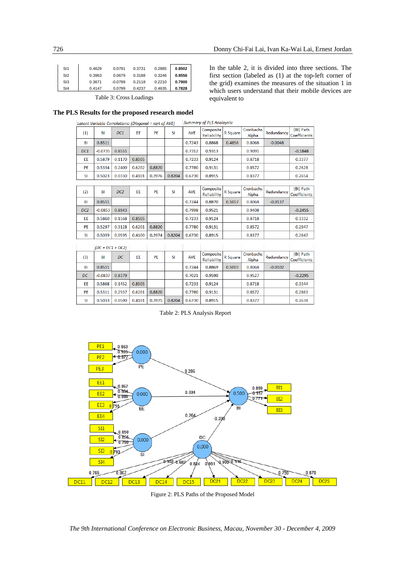| SI1             | 0.4629 | 0.0791    | 0.3731 | 0.2885 | 0.8502 |
|-----------------|--------|-----------|--------|--------|--------|
| S <sub>12</sub> | 0.3963 | 0.0679    | 0.3188 | 0.3246 | 0.8556 |
| S13             | 0.3671 | $-0.0799$ | 0.2118 | 0.2210 | 0.7900 |
| S14             | 0.4147 | 0.0799    | 0.4237 | 0.4635 | 0.7828 |

Table 3: Cross Loadings

In the table 2, it is divided into three sections. The first section (labeled as (1) at the top-left corner of the grid) examines the measures of the situation 1 in which users understand that their mobile devices are equivalent to

0.3332

0.2947

0.8718

0.8572

## **The PLS Results for the proposed research model**

 $0.5860$   $0.1568$   $0.8505$ 

0.3128

 $0.6201$ 

0.8820

EE

PE

0.5297

| Latent Variable Correlations: (Diagonal = sart of AVE) |           |                 |           | <b>Summary of PLS Analaysis:</b> |           |            |                          |          |                    |            |                                  |
|--------------------------------------------------------|-----------|-----------------|-----------|----------------------------------|-----------|------------|--------------------------|----------|--------------------|------------|----------------------------------|
| (1)                                                    | BI        | DC1             | <b>EE</b> | PE                               | <b>SI</b> | <b>AVE</b> | Composite<br>Reliability | R Square | Cronbachs<br>Alpha | Redundancy | (BI) Path<br><b>Coefficients</b> |
| <b>BI</b>                                              | 0.8511    |                 |           |                                  |           | 0.7243     | 0.8868                   | 0.4856   | 0.8068             | $-0.0048$  |                                  |
| DC <sub>1</sub>                                        | $-0.0735$ | 0.8551          |           |                                  |           | 0.7312     | 0.9313                   |          | 0.9091             |            | $-0.1848$                        |
| EE.                                                    | 0.5879    | 0.1170          | 0.8505    |                                  |           | 0.7233     | 0.9124                   |          | 0.8718             |            | 0.3377                           |
| PE                                                     | 0.5334    | 0.2400          | 0.6202    | 0.8820                           |           | 0.7780     | 0.9131                   |          | 0.8572             |            | 0.2628                           |
| <b>SI</b>                                              | 0.5023    | 0.0330          | 0.4101    | 0.3976                           | 0.8204    | 0.6730     | 0.8915                   |          | 0.8377             |            | 0.2654                           |
|                                                        |           |                 |           |                                  |           |            |                          |          |                    |            |                                  |
| (2)                                                    | BI        | DC <sub>2</sub> | EE        | PE                               | <b>SI</b> | <b>AVE</b> | Composite<br>Reliability | R Square | Cronbachs<br>Alpha | Redundancy | (BI) Path<br><b>Coefficients</b> |
| BI                                                     | 0.8511    |                 |           |                                  |           | 0.7244     | 0.8870                   | 0.5057   | 0.8068             | $-0.0137$  |                                  |
| DC <sub>2</sub>                                        | $-0.0853$ | 0.8943          |           |                                  |           | 0.7998     | 0.9521                   |          | 0.9408             |            | $-0.2455$                        |

0.7233

0.7780

0.9124

0.9131

| <b>SI</b> | 0.5039             | 0.0595 | 0.4100 | 0.3974 | 0.8204 | 0.6730     | 0.8915                          |           | 0.8377             |            | 0.2647                           |
|-----------|--------------------|--------|--------|--------|--------|------------|---------------------------------|-----------|--------------------|------------|----------------------------------|
|           | $(DC = DC1 + DC2)$ |        |        |        |        |            |                                 |           |                    |            |                                  |
| (3)       | BI                 | DC     | EE     | PE     | SI     | <b>AVE</b> | Composite<br><b>Reliability</b> | R Square! | Cronbachs<br>Alpha | Redundancy | (BI) Path<br><b>Coefficients</b> |
| <b>BI</b> | 0.8511             |        |        |        |        | 0.7244     | 0.8869                          | 0.5003    | 0.8068             | $-0.0102$  |                                  |
| DC        | $-0.0837$          | 0.8379 |        |        |        | 0.7021     | 0.9590                          |           | 0.9527             |            | $-0.2295$                        |
| EE        | 0.5868             | 0.1452 | 0.8505 |        |        | 0.7233     | 0.9124                          |           | 0.8718             |            | 0.3344                           |
| <b>PE</b> | 0.5311             | 0.2937 | 0.6201 | 0.8820 |        | 0.7780     | 0.9131                          |           | 0.8572             |            | 0.2863                           |
| <b>SI</b> | 0.5033             | 0.0500 | 0.4101 | 0.3975 | 0.8204 | 0.6730     | 0.8915                          |           | 0.8377             |            | 0.2638                           |

Table 2: PLS Analysis Report



Figure 2: PLS Paths of the Proposed Model

*The 9th International Conference on Electronic Business, Macau, November 30 - December 4, 2009*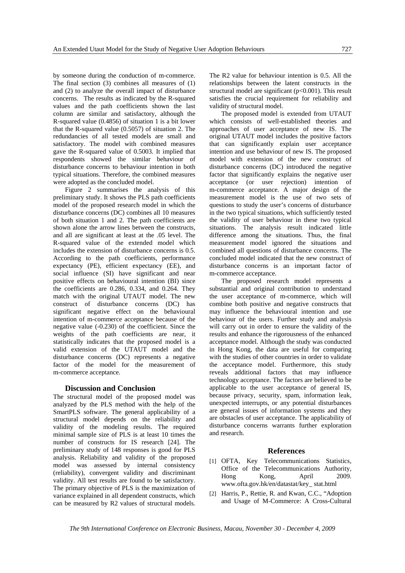by someone during the conduction of m-commerce. The final section (3) combines all measures of (1) and (2) to analyze the overall impact of disturbance concerns. The results as indicated by the R-squared values and the path coefficients shown the last column are similar and satisfactory, although the R-squared value (0.4856) of situation 1 is a bit lower that the R-squared value (0.5057) of situation 2. The redundancies of all tested models are small and satisfactory. The model with combined measures gave the R-squared value of 0.5003. It implied that respondents showed the similar behaviour of disturbance concerns to behaviour intention in both typical situations. Therefore, the combined measures were adopted as the concluded model.

Figure 2 summarises the analysis of this preliminary study. It shows the PLS path coefficients model of the proposed research model in which the disturbance concerns (DC) combines all 10 measures of both situation 1 and 2. The path coefficients are shown alone the arrow lines between the constructs, and all are significant at least at the .05 level. The R-squared value of the extended model which includes the extension of disturbance concerns is 0.5. According to the path coefficients, performance expectancy (PE), efficient expectancy (EE), and social influence (SI) have significant and near positive effects on behavioural intention (BI) since the coefficients are 0.286, 0.334, and 0.264. They match with the original UTAUT model. The new construct of disturbance concerns (DC) has significant negative effect on the behavioural intention of m-commerce acceptance because of the negative value (-0.230) of the coefficient. Since the weights of the path coefficients are near, it statistically indicates that the proposed model is a valid extension of the UTAUT model and the disturbance concerns (DC) represents a negative factor of the model for the measurement of m-commerce acceptance.

#### **Discussion and Conclusion**

The structural model of the proposed model was analyzed by the PLS method with the help of the SmartPLS software. The general applicability of a structural model depends on the reliability and validity of the modeling results. The required minimal sample size of PLS is at least 10 times the number of constructs for IS research [24]. The preliminary study of 148 responses is good for PLS analysis. Reliability and validity of the proposed model was assessed by internal consistency (reliability), convergent validity and discriminant validity. All test results are found to be satisfactory. The primary objective of PLS is the maximization of variance explained in all dependent constructs, which can be measured by R2 values of structural models.

The R2 value for behaviour intention is 0.5. All the relationships between the latent constructs in the structural model are significant  $(p<0.001)$ . This result satisfies the crucial requirement for reliability and validity of structural model.

The proposed model is extended from UTAUT which consists of well-established theories and approaches of user acceptance of new IS. The original UTAUT model includes the positive factors that can significantly explain user acceptance intention and use behaviour of new IS. The proposed model with extension of the new construct of disturbance concerns (DC) introduced the negative factor that significantly explains the negative user acceptance (or user rejection) intention of m-commerce acceptance. A major design of the measurement model is the use of two sets of questions to study the user's concerns of disturbance in the two typical situations, which sufficiently tested the validity of user behaviour in these two typical situations. The analysis result indicated little difference among the situations. Thus, the final measurement model ignored the situations and combined all questions of disturbance concerns. The concluded model indicated that the new construct of disturbance concerns is an important factor of m-commerce acceptance.

The proposed research model represents a substantial and original contribution to understand the user acceptance of m-commerce, which will combine both positive and negative constructs that may influence the behavioural intention and use behaviour of the users. Further study and analysis will carry out in order to ensure the validity of the results and enhance the rigorousness of the enhanced acceptance model. Although the study was conducted in Hong Kong, the data are useful for comparing with the studies of other countries in order to validate the acceptance model. Furthermore, this study reveals additional factors that may influence technology acceptance. The factors are believed to be applicable to the user acceptance of general IS, because privacy, security, spam, information leak, unexpected interrupts, or any potential disturbances are general issues of information systems and they are obstacles of user acceptance. The applicability of disturbance concerns warrants further exploration and research.

## **References**

- [1] OFTA, Key Telecommunications Statistics, Office of the Telecommunications Authority, Hong Kong, April 2009. www.ofta.gov.hk/en/datastat/key\_ stat.html
- [2] Harris, P., Rettie, R. and Kwan, C.C., "Adoption" and Usage of M-Commerce: A Cross-Cultural